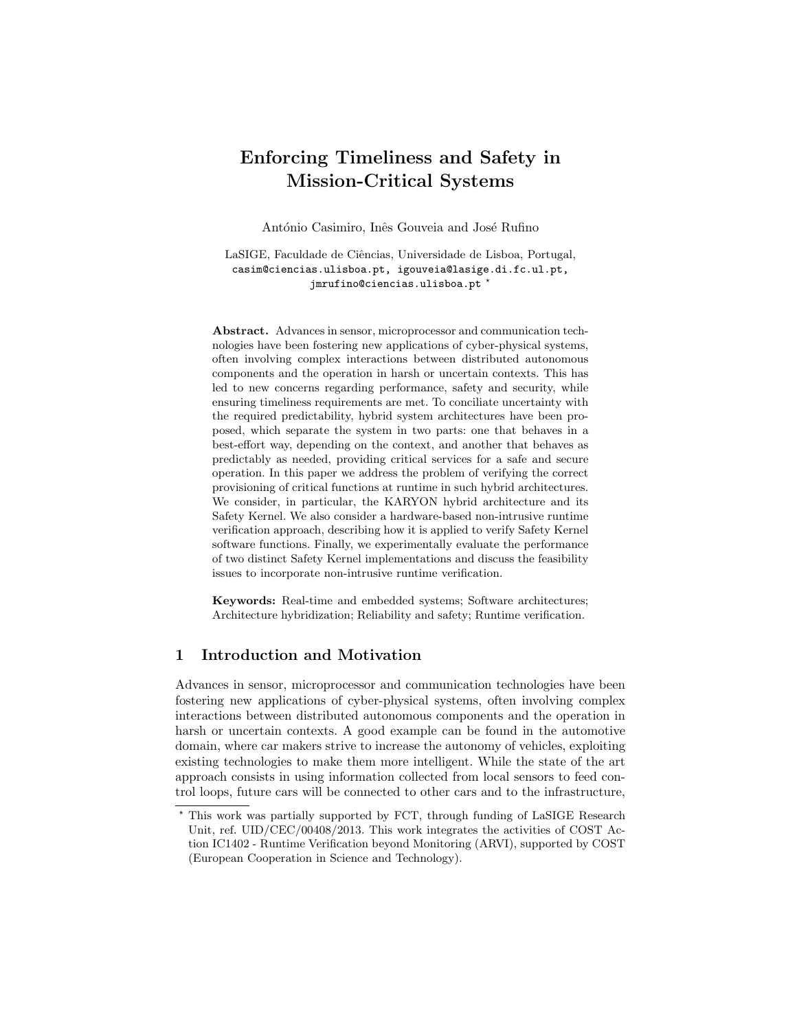# Enforcing Timeliness and Safety in Mission-Critical Systems

António Casimiro, Inês Gouveia and José Rufino

LaSIGE, Faculdade de Ciências, Universidade de Lisboa, Portugal, casim@ciencias.ulisboa.pt, igouveia@lasige.di.fc.ul.pt, jmrufino@ciencias.ulisboa.pt \*

Abstract. Advances in sensor, microprocessor and communication technologies have been fostering new applications of cyber-physical systems, often involving complex interactions between distributed autonomous components and the operation in harsh or uncertain contexts. This has led to new concerns regarding performance, safety and security, while ensuring timeliness requirements are met. To conciliate uncertainty with the required predictability, hybrid system architectures have been proposed, which separate the system in two parts: one that behaves in a best-effort way, depending on the context, and another that behaves as predictably as needed, providing critical services for a safe and secure operation. In this paper we address the problem of verifying the correct provisioning of critical functions at runtime in such hybrid architectures. We consider, in particular, the KARYON hybrid architecture and its Safety Kernel. We also consider a hardware-based non-intrusive runtime verification approach, describing how it is applied to verify Safety Kernel software functions. Finally, we experimentally evaluate the performance of two distinct Safety Kernel implementations and discuss the feasibility issues to incorporate non-intrusive runtime verification.

Keywords: Real-time and embedded systems; Software architectures; Architecture hybridization; Reliability and safety; Runtime verification.

## 1 Introduction and Motivation

Advances in sensor, microprocessor and communication technologies have been fostering new applications of cyber-physical systems, often involving complex interactions between distributed autonomous components and the operation in harsh or uncertain contexts. A good example can be found in the automotive domain, where car makers strive to increase the autonomy of vehicles, exploiting existing technologies to make them more intelligent. While the state of the art approach consists in using information collected from local sensors to feed control loops, future cars will be connected to other cars and to the infrastructure,

<sup>?</sup> This work was partially supported by FCT, through funding of LaSIGE Research Unit, ref. UID/CEC/00408/2013. This work integrates the activities of COST Action IC1402 - Runtime Verification beyond Monitoring (ARVI), supported by COST (European Cooperation in Science and Technology).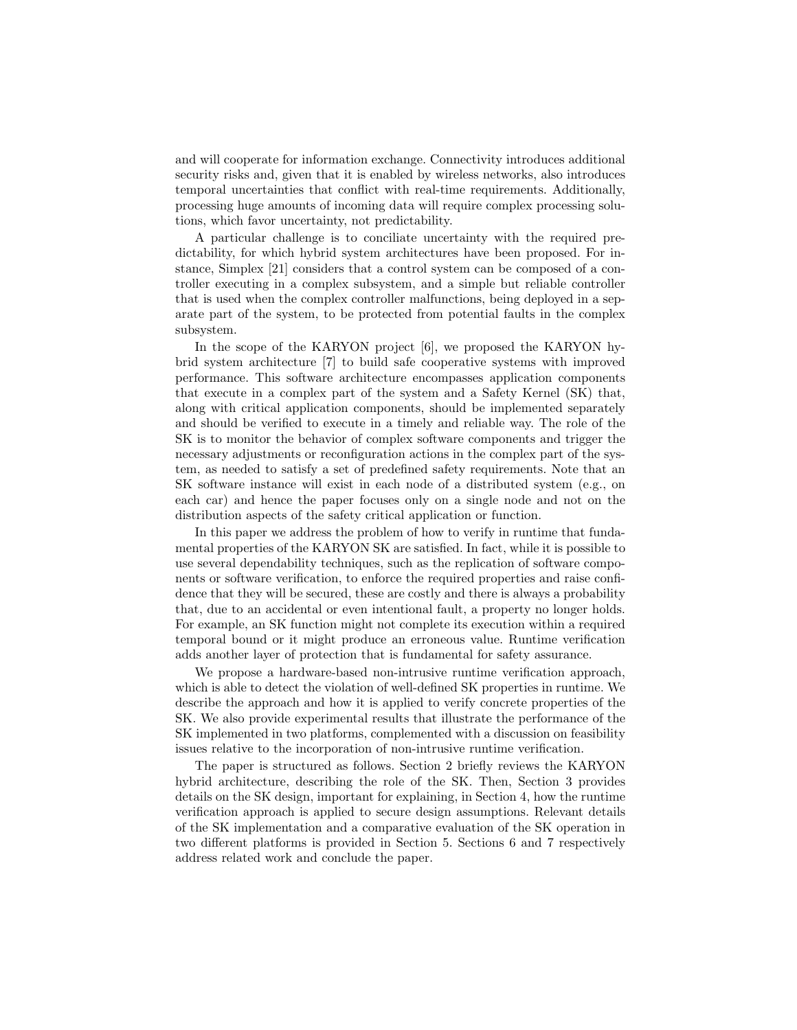and will cooperate for information exchange. Connectivity introduces additional security risks and, given that it is enabled by wireless networks, also introduces temporal uncertainties that conflict with real-time requirements. Additionally, processing huge amounts of incoming data will require complex processing solutions, which favor uncertainty, not predictability.

A particular challenge is to conciliate uncertainty with the required predictability, for which hybrid system architectures have been proposed. For instance, Simplex [21] considers that a control system can be composed of a controller executing in a complex subsystem, and a simple but reliable controller that is used when the complex controller malfunctions, being deployed in a separate part of the system, to be protected from potential faults in the complex subsystem.

In the scope of the KARYON project [6], we proposed the KARYON hybrid system architecture [7] to build safe cooperative systems with improved performance. This software architecture encompasses application components that execute in a complex part of the system and a Safety Kernel (SK) that, along with critical application components, should be implemented separately and should be verified to execute in a timely and reliable way. The role of the SK is to monitor the behavior of complex software components and trigger the necessary adjustments or reconfiguration actions in the complex part of the system, as needed to satisfy a set of predefined safety requirements. Note that an SK software instance will exist in each node of a distributed system (e.g., on each car) and hence the paper focuses only on a single node and not on the distribution aspects of the safety critical application or function.

In this paper we address the problem of how to verify in runtime that fundamental properties of the KARYON SK are satisfied. In fact, while it is possible to use several dependability techniques, such as the replication of software components or software verification, to enforce the required properties and raise confidence that they will be secured, these are costly and there is always a probability that, due to an accidental or even intentional fault, a property no longer holds. For example, an SK function might not complete its execution within a required temporal bound or it might produce an erroneous value. Runtime verification adds another layer of protection that is fundamental for safety assurance.

We propose a hardware-based non-intrusive runtime verification approach, which is able to detect the violation of well-defined SK properties in runtime. We describe the approach and how it is applied to verify concrete properties of the SK. We also provide experimental results that illustrate the performance of the SK implemented in two platforms, complemented with a discussion on feasibility issues relative to the incorporation of non-intrusive runtime verification.

The paper is structured as follows. Section 2 briefly reviews the KARYON hybrid architecture, describing the role of the SK. Then, Section 3 provides details on the SK design, important for explaining, in Section 4, how the runtime verification approach is applied to secure design assumptions. Relevant details of the SK implementation and a comparative evaluation of the SK operation in two different platforms is provided in Section 5. Sections 6 and 7 respectively address related work and conclude the paper.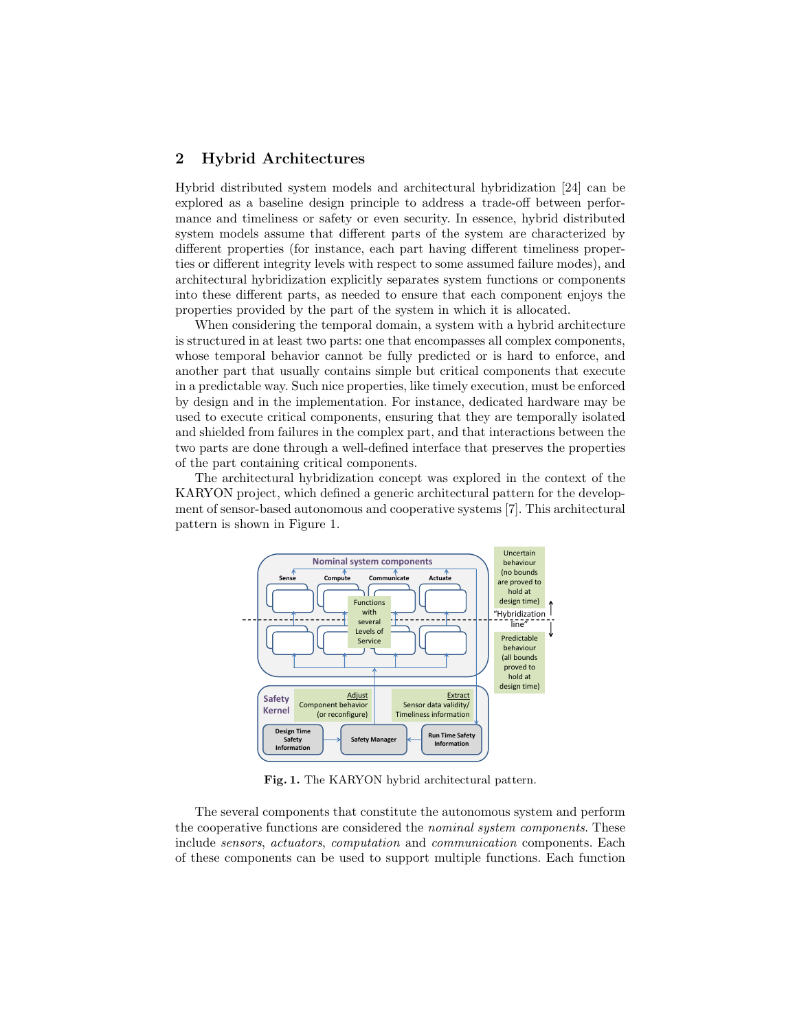## 2 Hybrid Architectures

Hybrid distributed system models and architectural hybridization [24] can be explored as a baseline design principle to address a trade-off between performance and timeliness or safety or even security. In essence, hybrid distributed system models assume that different parts of the system are characterized by different properties (for instance, each part having different timeliness properties or different integrity levels with respect to some assumed failure modes), and architectural hybridization explicitly separates system functions or components into these different parts, as needed to ensure that each component enjoys the properties provided by the part of the system in which it is allocated.

When considering the temporal domain, a system with a hybrid architecture is structured in at least two parts: one that encompasses all complex components, whose temporal behavior cannot be fully predicted or is hard to enforce, and another part that usually contains simple but critical components that execute in a predictable way. Such nice properties, like timely execution, must be enforced by design and in the implementation. For instance, dedicated hardware may be used to execute critical components, ensuring that they are temporally isolated and shielded from failures in the complex part, and that interactions between the two parts are done through a well-defined interface that preserves the properties of the part containing critical components.

The architectural hybridization concept was explored in the context of the KARYON project, which defined a generic architectural pattern for the development of sensor-based autonomous and cooperative systems [7]. This architectural pattern is shown in Figure 1.



Fig. 1. The KARYON hybrid architectural pattern.

The several components that constitute the autonomous system and perform the cooperative functions are considered the nominal system components. These include sensors, actuators, computation and communication components. Each of these components can be used to support multiple functions. Each function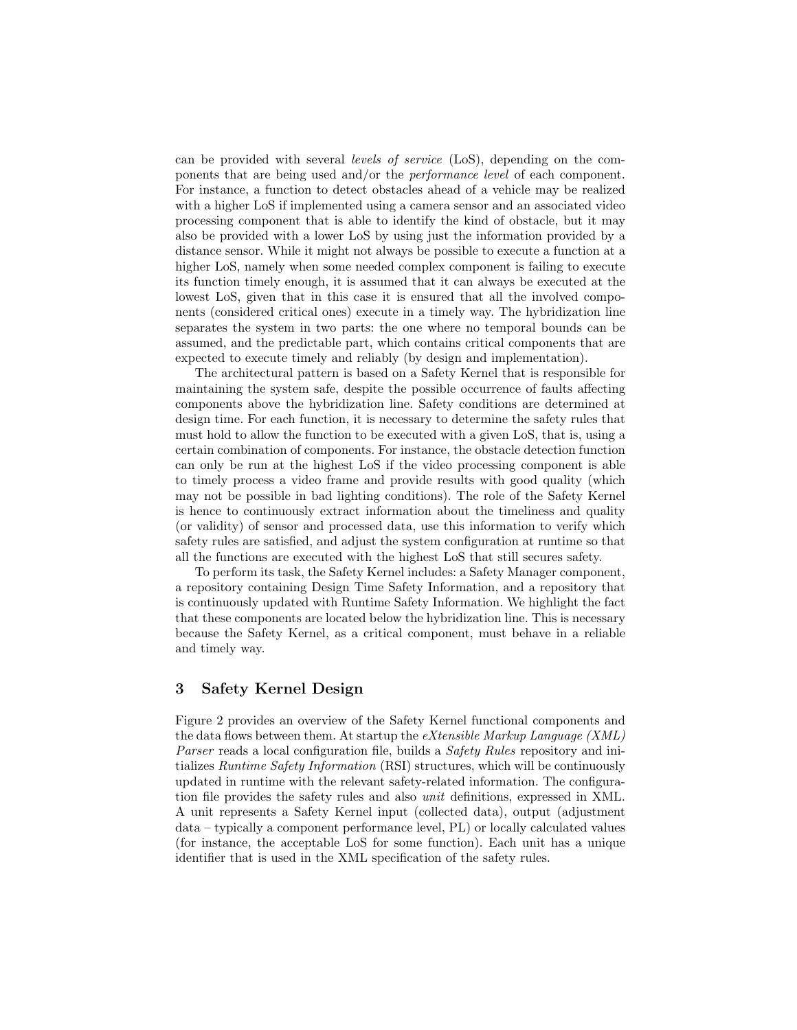can be provided with several levels of service (LoS), depending on the components that are being used and/or the performance level of each component. For instance, a function to detect obstacles ahead of a vehicle may be realized with a higher LoS if implemented using a camera sensor and an associated video processing component that is able to identify the kind of obstacle, but it may also be provided with a lower LoS by using just the information provided by a distance sensor. While it might not always be possible to execute a function at a higher LoS, namely when some needed complex component is failing to execute its function timely enough, it is assumed that it can always be executed at the lowest LoS, given that in this case it is ensured that all the involved components (considered critical ones) execute in a timely way. The hybridization line separates the system in two parts: the one where no temporal bounds can be assumed, and the predictable part, which contains critical components that are expected to execute timely and reliably (by design and implementation).

The architectural pattern is based on a Safety Kernel that is responsible for maintaining the system safe, despite the possible occurrence of faults affecting components above the hybridization line. Safety conditions are determined at design time. For each function, it is necessary to determine the safety rules that must hold to allow the function to be executed with a given LoS, that is, using a certain combination of components. For instance, the obstacle detection function can only be run at the highest LoS if the video processing component is able to timely process a video frame and provide results with good quality (which may not be possible in bad lighting conditions). The role of the Safety Kernel is hence to continuously extract information about the timeliness and quality (or validity) of sensor and processed data, use this information to verify which safety rules are satisfied, and adjust the system configuration at runtime so that all the functions are executed with the highest LoS that still secures safety.

To perform its task, the Safety Kernel includes: a Safety Manager component, a repository containing Design Time Safety Information, and a repository that is continuously updated with Runtime Safety Information. We highlight the fact that these components are located below the hybridization line. This is necessary because the Safety Kernel, as a critical component, must behave in a reliable and timely way.

## 3 Safety Kernel Design

Figure 2 provides an overview of the Safety Kernel functional components and the data flows between them. At startup the eXtensible Markup Language (XML) Parser reads a local configuration file, builds a *Safety Rules* repository and initializes Runtime Safety Information (RSI) structures, which will be continuously updated in runtime with the relevant safety-related information. The configuration file provides the safety rules and also unit definitions, expressed in XML. A unit represents a Safety Kernel input (collected data), output (adjustment data – typically a component performance level, PL) or locally calculated values (for instance, the acceptable LoS for some function). Each unit has a unique identifier that is used in the XML specification of the safety rules.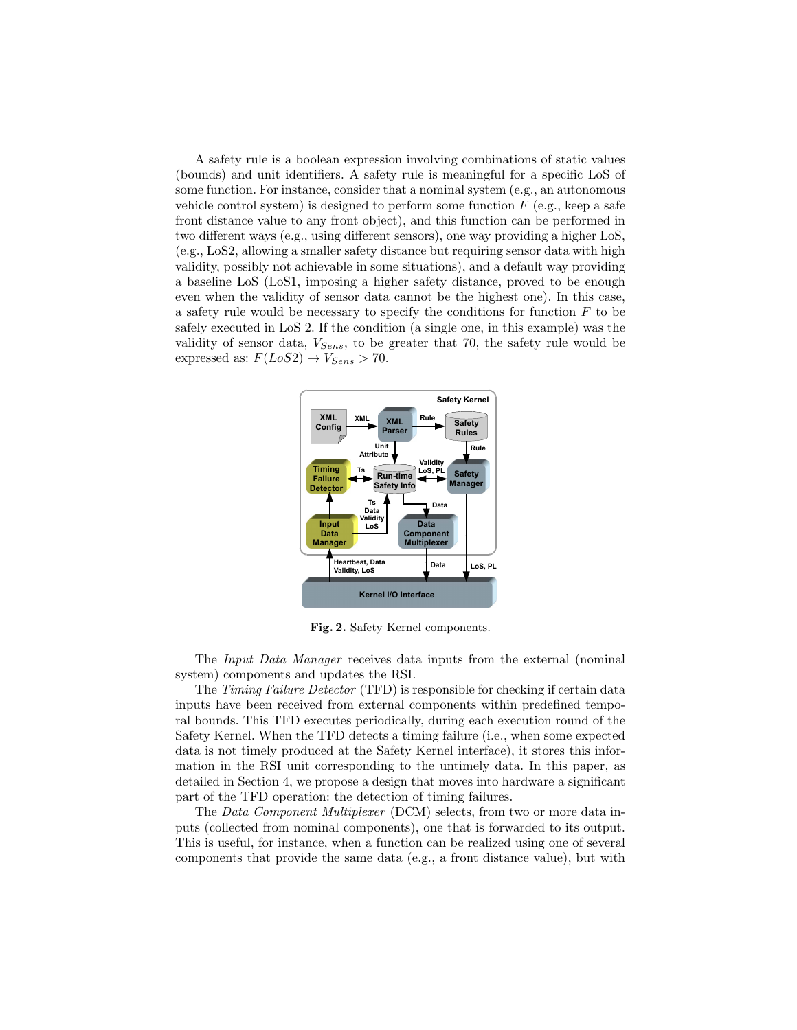A safety rule is a boolean expression involving combinations of static values (bounds) and unit identifiers. A safety rule is meaningful for a specific LoS of some function. For instance, consider that a nominal system (e.g., an autonomous vehicle control system) is designed to perform some function  $F$  (e.g., keep a safe front distance value to any front object), and this function can be performed in two different ways (e.g., using different sensors), one way providing a higher LoS, (e.g., LoS2, allowing a smaller safety distance but requiring sensor data with high validity, possibly not achievable in some situations), and a default way providing a baseline LoS (LoS1, imposing a higher safety distance, proved to be enough even when the validity of sensor data cannot be the highest one). In this case, a safety rule would be necessary to specify the conditions for function  $F$  to be safely executed in LoS 2. If the condition (a single one, in this example) was the validity of sensor data,  $V_{Sens}$ , to be greater that 70, the safety rule would be expressed as:  $F(LoS2) \rightarrow V_{Sens} > 70$ .



Fig. 2. Safety Kernel components.

The Input Data Manager receives data inputs from the external (nominal system) components and updates the RSI.

The Timing Failure Detector (TFD) is responsible for checking if certain data inputs have been received from external components within predefined temporal bounds. This TFD executes periodically, during each execution round of the Safety Kernel. When the TFD detects a timing failure (i.e., when some expected data is not timely produced at the Safety Kernel interface), it stores this information in the RSI unit corresponding to the untimely data. In this paper, as detailed in Section 4, we propose a design that moves into hardware a significant part of the TFD operation: the detection of timing failures.

The Data Component Multiplexer (DCM) selects, from two or more data inputs (collected from nominal components), one that is forwarded to its output. This is useful, for instance, when a function can be realized using one of several components that provide the same data (e.g., a front distance value), but with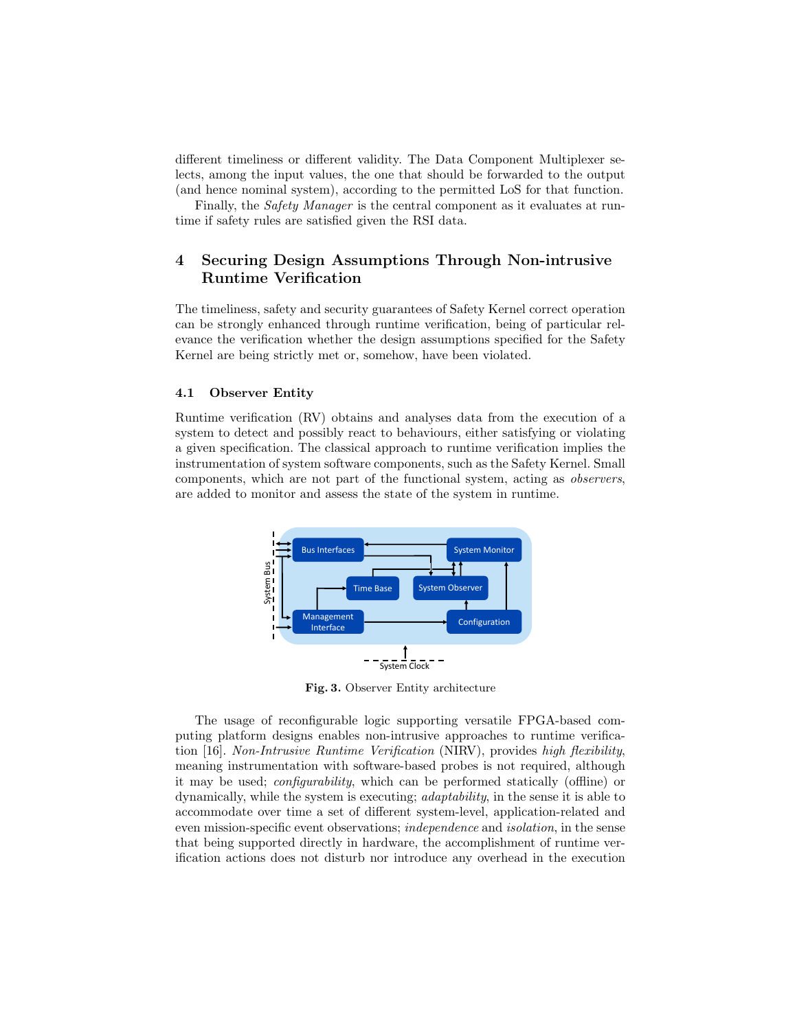different timeliness or different validity. The Data Component Multiplexer selects, among the input values, the one that should be forwarded to the output (and hence nominal system), according to the permitted LoS for that function.

Finally, the Safety Manager is the central component as it evaluates at runtime if safety rules are satisfied given the RSI data.

# 4 Securing Design Assumptions Through Non-intrusive Runtime Verification

The timeliness, safety and security guarantees of Safety Kernel correct operation can be strongly enhanced through runtime verification, being of particular relevance the verification whether the design assumptions specified for the Safety Kernel are being strictly met or, somehow, have been violated.

#### 4.1 Observer Entity

Runtime verification (RV) obtains and analyses data from the execution of a system to detect and possibly react to behaviours, either satisfying or violating a given specification. The classical approach to runtime verification implies the instrumentation of system software components, such as the Safety Kernel. Small components, which are not part of the functional system, acting as observers, are added to monitor and assess the state of the system in runtime.



Fig. 3. Observer Entity architecture

The usage of reconfigurable logic supporting versatile FPGA-based computing platform designs enables non-intrusive approaches to runtime verification [16]. Non-Intrusive Runtime Verification (NIRV), provides high flexibility, meaning instrumentation with software-based probes is not required, although it may be used; configurability, which can be performed statically (offline) or dynamically, while the system is executing; adaptability, in the sense it is able to accommodate over time a set of different system-level, application-related and even mission-specific event observations; independence and isolation, in the sense that being supported directly in hardware, the accomplishment of runtime verification actions does not disturb nor introduce any overhead in the execution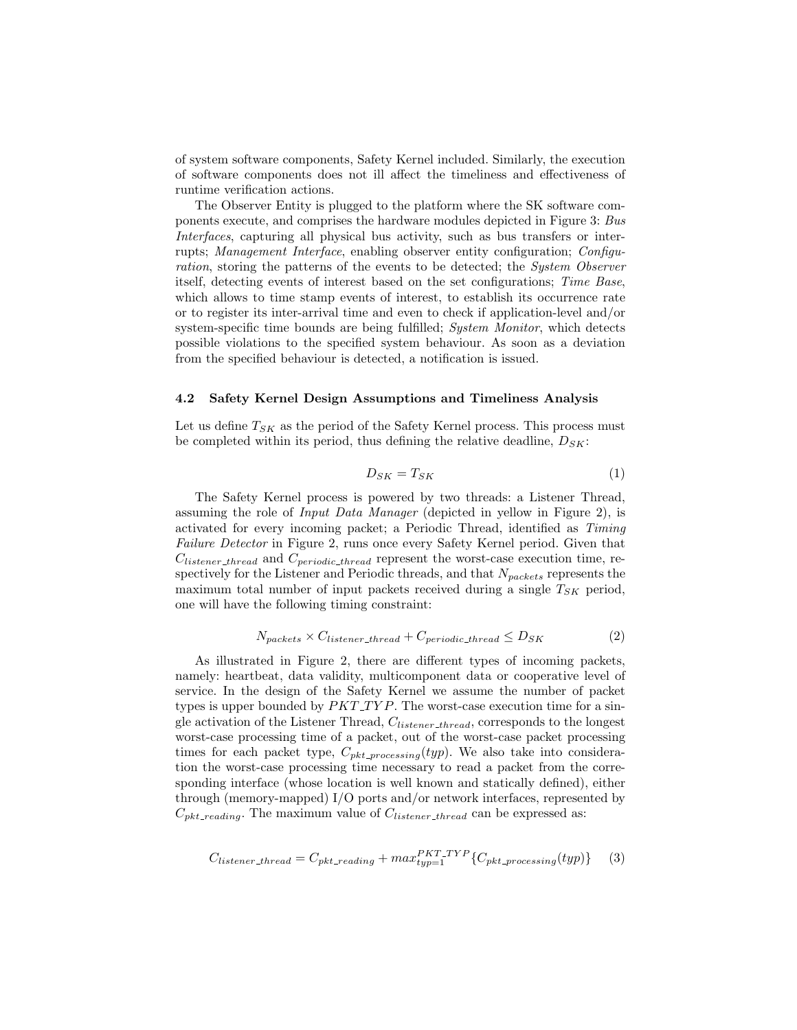of system software components, Safety Kernel included. Similarly, the execution of software components does not ill affect the timeliness and effectiveness of runtime verification actions.

The Observer Entity is plugged to the platform where the SK software components execute, and comprises the hardware modules depicted in Figure 3: Bus Interfaces, capturing all physical bus activity, such as bus transfers or interrupts; Management Interface, enabling observer entity configuration; Configuration, storing the patterns of the events to be detected; the System Observer itself, detecting events of interest based on the set configurations; Time Base, which allows to time stamp events of interest, to establish its occurrence rate or to register its inter-arrival time and even to check if application-level and/or system-specific time bounds are being fulfilled; System Monitor, which detects possible violations to the specified system behaviour. As soon as a deviation from the specified behaviour is detected, a notification is issued.

#### 4.2 Safety Kernel Design Assumptions and Timeliness Analysis

Let us define  $T_{SK}$  as the period of the Safety Kernel process. This process must be completed within its period, thus defining the relative deadline,  $D_{SK}$ :

$$
D_{SK} = T_{SK} \tag{1}
$$

The Safety Kernel process is powered by two threads: a Listener Thread, assuming the role of Input Data Manager (depicted in yellow in Figure 2), is activated for every incoming packet; a Periodic Thread, identified as Timing Failure Detector in Figure 2, runs once every Safety Kernel period. Given that  $C_{listency\_thread}$  and  $C_{periodic\_thread}$  represent the worst-case execution time, respectively for the Listener and Periodic threads, and that  $N_{packets}$  represents the maximum total number of input packets received during a single  $T_{SK}$  period, one will have the following timing constraint:

$$
N_{packets} \times C_{listener\_thread} + C_{periodic\_thread} \leq D_{SK}
$$
 (2)

As illustrated in Figure 2, there are different types of incoming packets, namely: heartbeat, data validity, multicomponent data or cooperative level of service. In the design of the Safety Kernel we assume the number of packet types is upper bounded by  $PKT$  TYP. The worst-case execution time for a single activation of the Listener Thread,  $C_{listency\_thread}$ , corresponds to the longest worst-case processing time of a packet, out of the worst-case packet processing times for each packet type,  $C_{pkt\_processing}(typ)$ . We also take into consideration the worst-case processing time necessary to read a packet from the corresponding interface (whose location is well known and statically defined), either through (memory-mapped) I/O ports and/or network interfaces, represented by  $C_{\text{pkt\_reading}}$ . The maximum value of  $C_{\text{listener\_thread}}$  can be expressed as:

$$
C_{listener\_thread} = C_{pkt\_reading} + max_{typ=1}^{PKT\_TYP} \{C_{pkt\_processing}(typ)\} \tag{3}
$$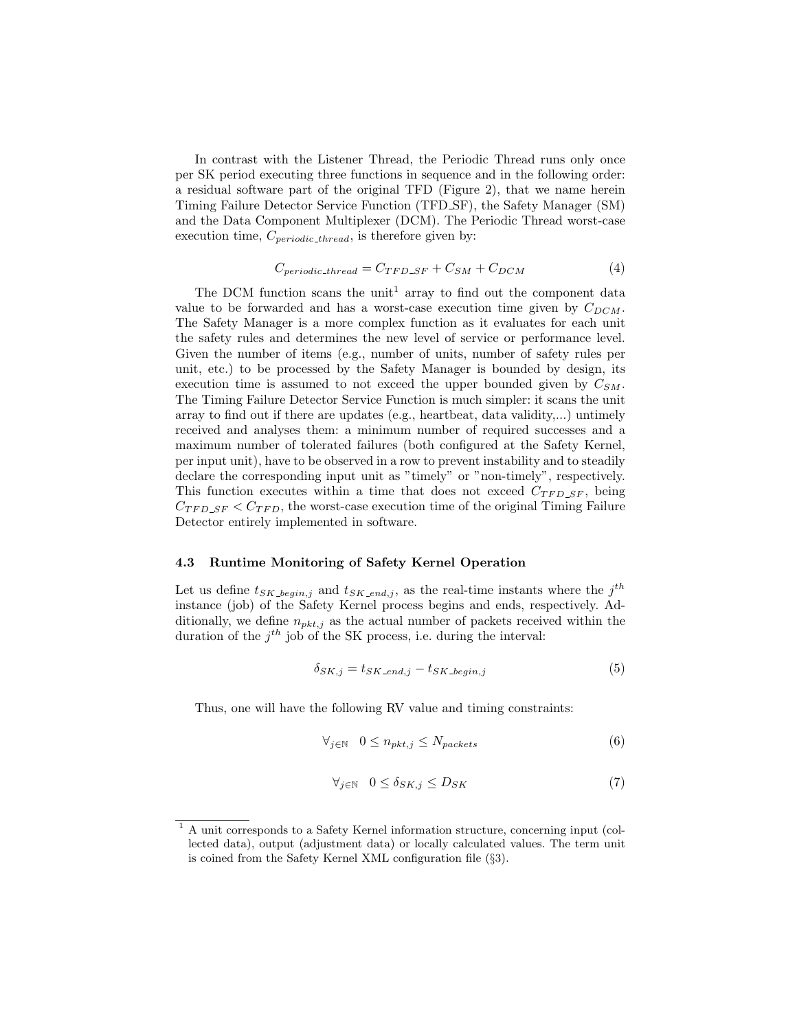In contrast with the Listener Thread, the Periodic Thread runs only once per SK period executing three functions in sequence and in the following order: a residual software part of the original TFD (Figure 2), that we name herein Timing Failure Detector Service Function (TFD SF), the Safety Manager (SM) and the Data Component Multiplexer (DCM). The Periodic Thread worst-case execution time,  $C_{periodic\_thread}$ , is therefore given by:

$$
C_{periodic\_thread} = C_{TFD\_SF} + C_{SM} + C_{DCM}
$$
\n
$$
\tag{4}
$$

The DCM function scans the unit<sup>1</sup> array to find out the component data value to be forwarded and has a worst-case execution time given by  $C_{DCM}$ . The Safety Manager is a more complex function as it evaluates for each unit the safety rules and determines the new level of service or performance level. Given the number of items (e.g., number of units, number of safety rules per unit, etc.) to be processed by the Safety Manager is bounded by design, its execution time is assumed to not exceed the upper bounded given by  $C_{SM}$ . The Timing Failure Detector Service Function is much simpler: it scans the unit array to find out if there are updates (e.g., heartbeat, data validity,...) untimely received and analyses them: a minimum number of required successes and a maximum number of tolerated failures (both configured at the Safety Kernel, per input unit), have to be observed in a row to prevent instability and to steadily declare the corresponding input unit as "timely" or "non-timely", respectively. This function executes within a time that does not exceed  $C_{TFD\_SF}$ , being  $C_{TFD\_SF} < C_{TFD}$ , the worst-case execution time of the original Timing Failure Detector entirely implemented in software.

#### 4.3 Runtime Monitoring of Safety Kernel Operation

Let us define  $t_{SK\text{-}begin,j}$  and  $t_{SK\text{-}end,j}$ , as the real-time instants where the  $j^{th}$ instance (job) of the Safety Kernel process begins and ends, respectively. Additionally, we define  $n_{pkt,j}$  as the actual number of packets received within the duration of the  $j^{th}$  job of the SK process, i.e. during the interval:

$$
\delta_{SK,j} = t_{SK\_end,j} - t_{SK\_begin,j} \tag{5}
$$

Thus, one will have the following RV value and timing constraints:

$$
\forall_{j \in \mathbb{N}} \quad 0 \le n_{pkt,j} \le N_{packets} \tag{6}
$$

$$
\forall_{j \in \mathbb{N}} \quad 0 \le \delta_{SK,j} \le D_{SK} \tag{7}
$$

<sup>1</sup> A unit corresponds to a Safety Kernel information structure, concerning input (collected data), output (adjustment data) or locally calculated values. The term unit is coined from the Safety Kernel XML configuration file (§3).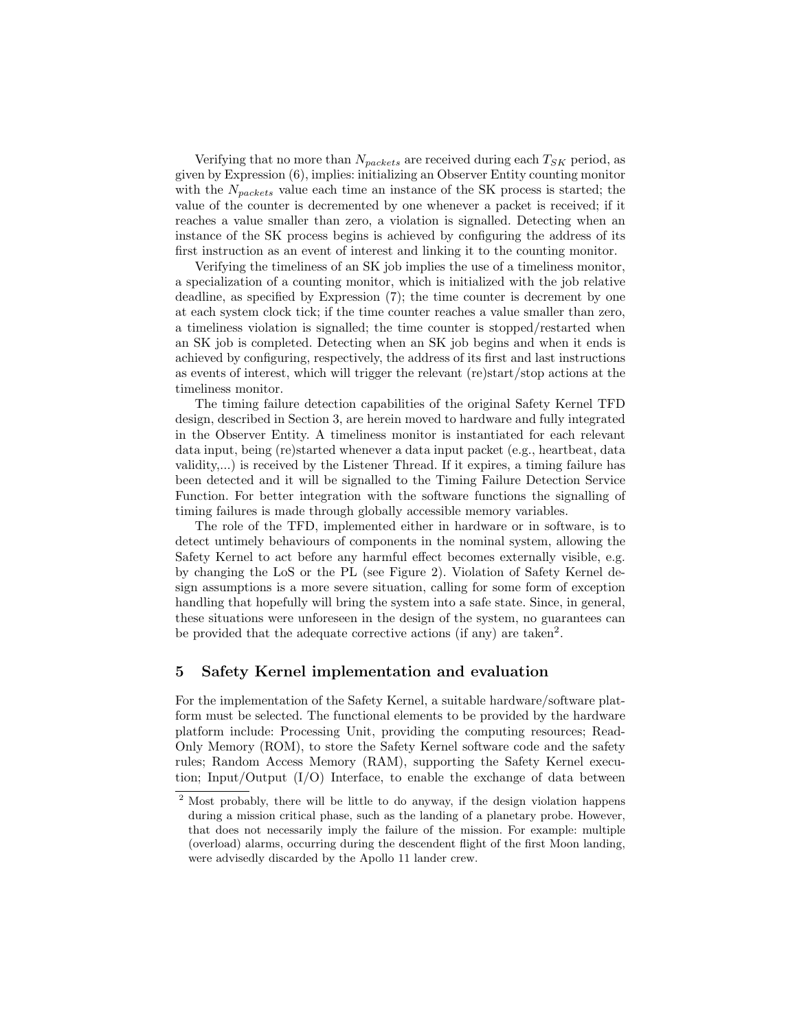Verifying that no more than  $N_{packets}$  are received during each  $T_{SK}$  period, as given by Expression (6), implies: initializing an Observer Entity counting monitor with the  $N_{packets}$  value each time an instance of the SK process is started; the value of the counter is decremented by one whenever a packet is received; if it reaches a value smaller than zero, a violation is signalled. Detecting when an instance of the SK process begins is achieved by configuring the address of its first instruction as an event of interest and linking it to the counting monitor.

Verifying the timeliness of an SK job implies the use of a timeliness monitor, a specialization of a counting monitor, which is initialized with the job relative deadline, as specified by Expression (7); the time counter is decrement by one at each system clock tick; if the time counter reaches a value smaller than zero, a timeliness violation is signalled; the time counter is stopped/restarted when an SK job is completed. Detecting when an SK job begins and when it ends is achieved by configuring, respectively, the address of its first and last instructions as events of interest, which will trigger the relevant (re)start/stop actions at the timeliness monitor.

The timing failure detection capabilities of the original Safety Kernel TFD design, described in Section 3, are herein moved to hardware and fully integrated in the Observer Entity. A timeliness monitor is instantiated for each relevant data input, being (re)started whenever a data input packet (e.g., heartbeat, data validity,...) is received by the Listener Thread. If it expires, a timing failure has been detected and it will be signalled to the Timing Failure Detection Service Function. For better integration with the software functions the signalling of timing failures is made through globally accessible memory variables.

The role of the TFD, implemented either in hardware or in software, is to detect untimely behaviours of components in the nominal system, allowing the Safety Kernel to act before any harmful effect becomes externally visible, e.g. by changing the LoS or the PL (see Figure 2). Violation of Safety Kernel design assumptions is a more severe situation, calling for some form of exception handling that hopefully will bring the system into a safe state. Since, in general, these situations were unforeseen in the design of the system, no guarantees can be provided that the adequate corrective actions (if any) are taken<sup>2</sup>.

## 5 Safety Kernel implementation and evaluation

For the implementation of the Safety Kernel, a suitable hardware/software platform must be selected. The functional elements to be provided by the hardware platform include: Processing Unit, providing the computing resources; Read-Only Memory (ROM), to store the Safety Kernel software code and the safety rules; Random Access Memory (RAM), supporting the Safety Kernel execution; Input/Output  $(I/O)$  Interface, to enable the exchange of data between

<sup>&</sup>lt;sup>2</sup> Most probably, there will be little to do anyway, if the design violation happens during a mission critical phase, such as the landing of a planetary probe. However, that does not necessarily imply the failure of the mission. For example: multiple (overload) alarms, occurring during the descendent flight of the first Moon landing, were advisedly discarded by the Apollo 11 lander crew.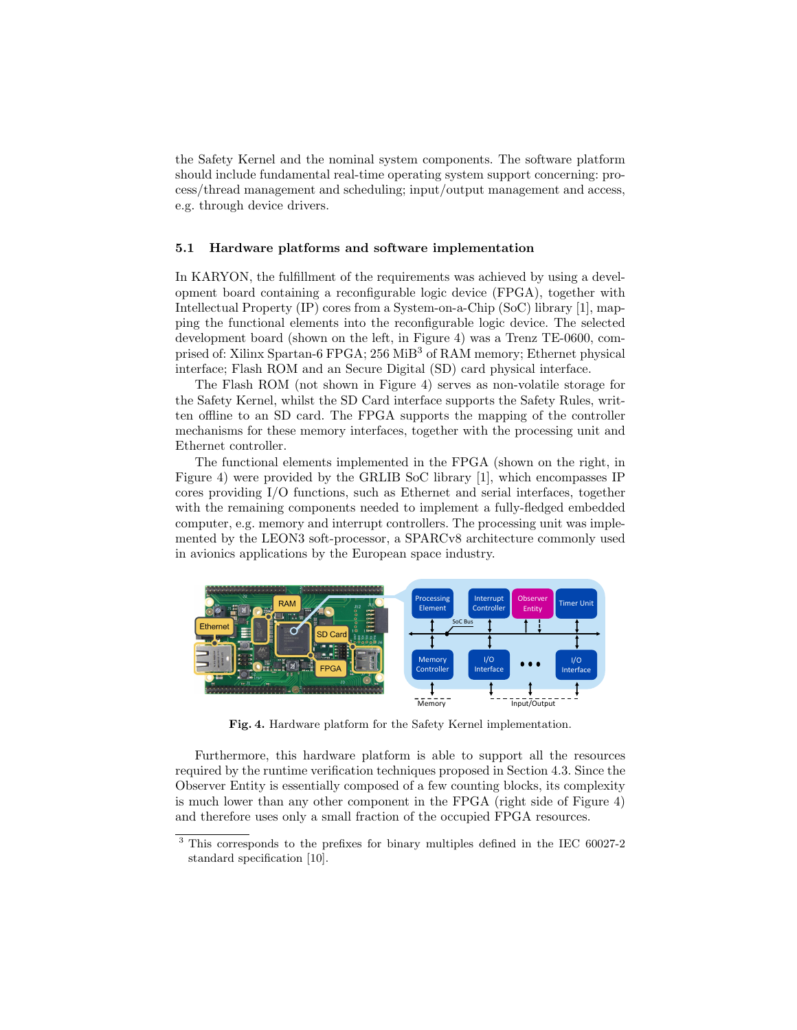the Safety Kernel and the nominal system components. The software platform should include fundamental real-time operating system support concerning: process/thread management and scheduling; input/output management and access, e.g. through device drivers.

#### 5.1 Hardware platforms and software implementation

In KARYON, the fulfillment of the requirements was achieved by using a development board containing a reconfigurable logic device (FPGA), together with Intellectual Property (IP) cores from a System-on-a-Chip (SoC) library [1], mapping the functional elements into the reconfigurable logic device. The selected development board (shown on the left, in Figure 4) was a Trenz TE-0600, comprised of: Xilinx Spartan-6 FPGA; 256 MiB<sup>3</sup> of RAM memory; Ethernet physical interface; Flash ROM and an Secure Digital (SD) card physical interface.

The Flash ROM (not shown in Figure 4) serves as non-volatile storage for the Safety Kernel, whilst the SD Card interface supports the Safety Rules, written offline to an SD card. The FPGA supports the mapping of the controller mechanisms for these memory interfaces, together with the processing unit and Ethernet controller.

The functional elements implemented in the FPGA (shown on the right, in Figure 4) were provided by the GRLIB SoC library [1], which encompasses IP cores providing I/O functions, such as Ethernet and serial interfaces, together with the remaining components needed to implement a fully-fledged embedded computer, e.g. memory and interrupt controllers. The processing unit was implemented by the LEON3 soft-processor, a SPARCv8 architecture commonly used in avionics applications by the European space industry.



Fig. 4. Hardware platform for the Safety Kernel implementation.

Furthermore, this hardware platform is able to support all the resources required by the runtime verification techniques proposed in Section 4.3. Since the Observer Entity is essentially composed of a few counting blocks, its complexity is much lower than any other component in the FPGA (right side of Figure 4) and therefore uses only a small fraction of the occupied FPGA resources.

<sup>3</sup> This corresponds to the prefixes for binary multiples defined in the IEC 60027-2 standard specification [10].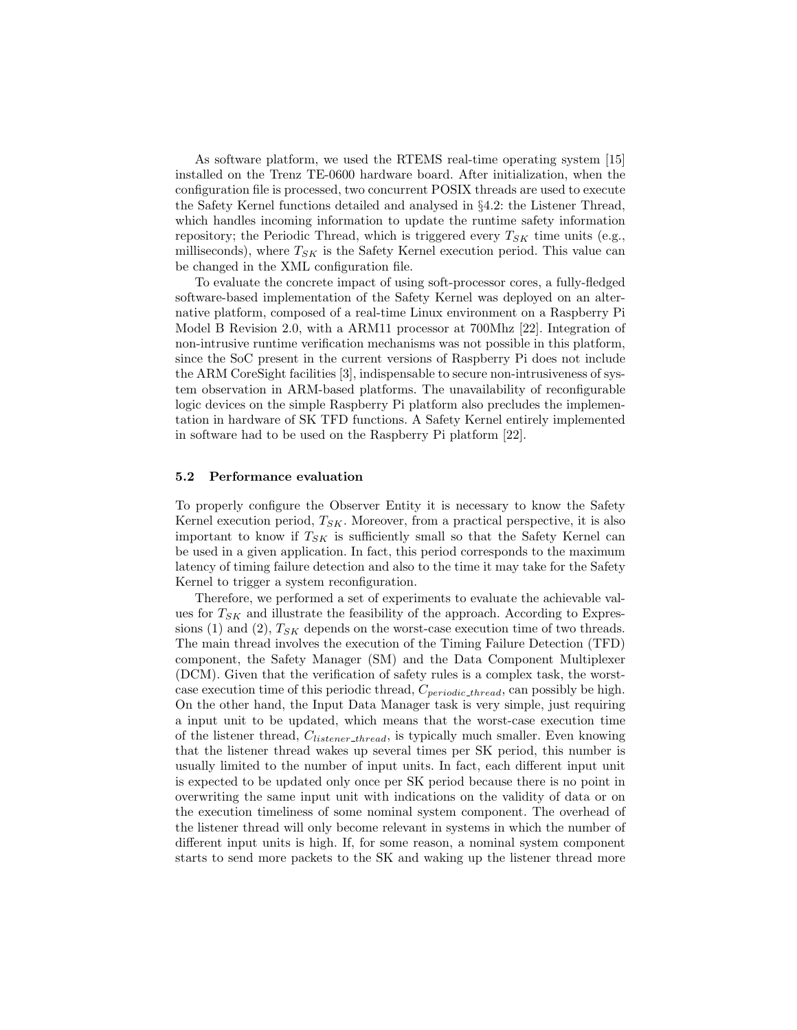As software platform, we used the RTEMS real-time operating system [15] installed on the Trenz TE-0600 hardware board. After initialization, when the configuration file is processed, two concurrent POSIX threads are used to execute the Safety Kernel functions detailed and analysed in §4.2: the Listener Thread, which handles incoming information to update the runtime safety information repository; the Periodic Thread, which is triggered every  $T_{SK}$  time units (e.g., milliseconds), where  $T_{SK}$  is the Safety Kernel execution period. This value can be changed in the XML configuration file.

To evaluate the concrete impact of using soft-processor cores, a fully-fledged software-based implementation of the Safety Kernel was deployed on an alternative platform, composed of a real-time Linux environment on a Raspberry Pi Model B Revision 2.0, with a ARM11 processor at 700Mhz [22]. Integration of non-intrusive runtime verification mechanisms was not possible in this platform, since the SoC present in the current versions of Raspberry Pi does not include the ARM CoreSight facilities [3], indispensable to secure non-intrusiveness of system observation in ARM-based platforms. The unavailability of reconfigurable logic devices on the simple Raspberry Pi platform also precludes the implementation in hardware of SK TFD functions. A Safety Kernel entirely implemented in software had to be used on the Raspberry Pi platform [22].

#### 5.2 Performance evaluation

To properly configure the Observer Entity it is necessary to know the Safety Kernel execution period,  $T_{SK}$ . Moreover, from a practical perspective, it is also important to know if  $T_{SK}$  is sufficiently small so that the Safety Kernel can be used in a given application. In fact, this period corresponds to the maximum latency of timing failure detection and also to the time it may take for the Safety Kernel to trigger a system reconfiguration.

Therefore, we performed a set of experiments to evaluate the achievable values for  $T_{SK}$  and illustrate the feasibility of the approach. According to Expressions (1) and (2),  $T_{SK}$  depends on the worst-case execution time of two threads. The main thread involves the execution of the Timing Failure Detection (TFD) component, the Safety Manager (SM) and the Data Component Multiplexer (DCM). Given that the verification of safety rules is a complex task, the worstcase execution time of this periodic thread,  $C_{periodic\_thread}$ , can possibly be high. On the other hand, the Input Data Manager task is very simple, just requiring a input unit to be updated, which means that the worst-case execution time of the listener thread,  $C_{listency\_thread}$ , is typically much smaller. Even knowing that the listener thread wakes up several times per SK period, this number is usually limited to the number of input units. In fact, each different input unit is expected to be updated only once per SK period because there is no point in overwriting the same input unit with indications on the validity of data or on the execution timeliness of some nominal system component. The overhead of the listener thread will only become relevant in systems in which the number of different input units is high. If, for some reason, a nominal system component starts to send more packets to the SK and waking up the listener thread more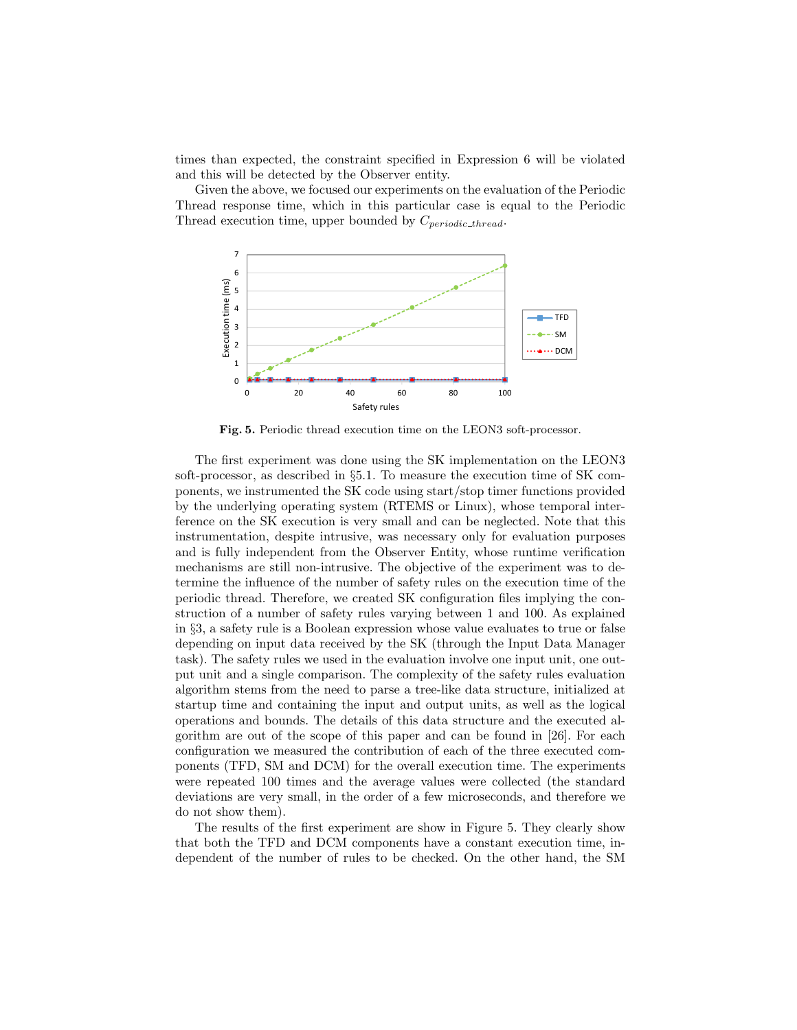times than expected, the constraint specified in Expression 6 will be violated and this will be detected by the Observer entity.

Given the above, we focused our experiments on the evaluation of the Periodic Thread response time, which in this particular case is equal to the Periodic Thread execution time, upper bounded by  $C_{periodic\_thread}$ .



Fig. 5. Periodic thread execution time on the LEON3 soft-processor.

The first experiment was done using the SK implementation on the LEON3 soft-processor, as described in §5.1. To measure the execution time of SK components, we instrumented the SK code using start/stop timer functions provided by the underlying operating system (RTEMS or Linux), whose temporal interference on the SK execution is very small and can be neglected. Note that this instrumentation, despite intrusive, was necessary only for evaluation purposes and is fully independent from the Observer Entity, whose runtime verification mechanisms are still non-intrusive. The objective of the experiment was to determine the influence of the number of safety rules on the execution time of the periodic thread. Therefore, we created SK configuration files implying the construction of a number of safety rules varying between 1 and 100. As explained in §3, a safety rule is a Boolean expression whose value evaluates to true or false depending on input data received by the SK (through the Input Data Manager task). The safety rules we used in the evaluation involve one input unit, one output unit and a single comparison. The complexity of the safety rules evaluation algorithm stems from the need to parse a tree-like data structure, initialized at startup time and containing the input and output units, as well as the logical operations and bounds. The details of this data structure and the executed algorithm are out of the scope of this paper and can be found in [26]. For each configuration we measured the contribution of each of the three executed components (TFD, SM and DCM) for the overall execution time. The experiments were repeated 100 times and the average values were collected (the standard deviations are very small, in the order of a few microseconds, and therefore we do not show them).

The results of the first experiment are show in Figure 5. They clearly show that both the TFD and DCM components have a constant execution time, independent of the number of rules to be checked. On the other hand, the SM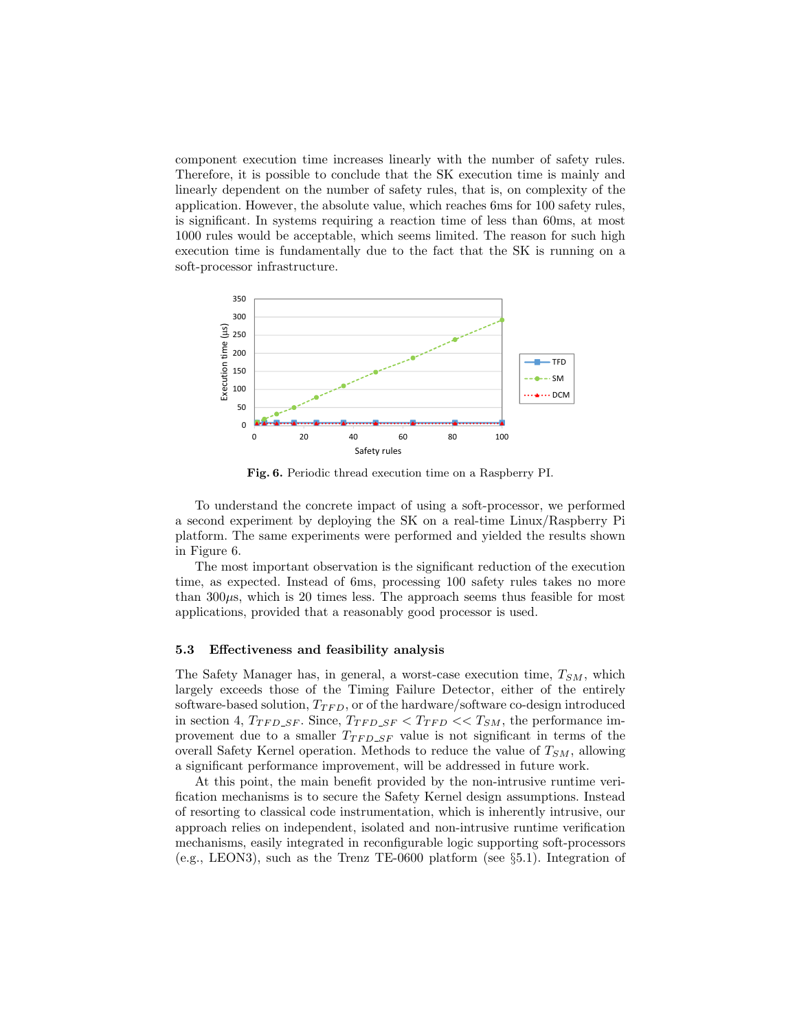component execution time increases linearly with the number of safety rules. Therefore, it is possible to conclude that the SK execution time is mainly and linearly dependent on the number of safety rules, that is, on complexity of the application. However, the absolute value, which reaches 6ms for 100 safety rules, is significant. In systems requiring a reaction time of less than 60ms, at most 1000 rules would be acceptable, which seems limited. The reason for such high execution time is fundamentally due to the fact that the SK is running on a soft-processor infrastructure.



Fig. 6. Periodic thread execution time on a Raspberry PI.

To understand the concrete impact of using a soft-processor, we performed a second experiment by deploying the SK on a real-time Linux/Raspberry Pi platform. The same experiments were performed and yielded the results shown in Figure 6.

The most important observation is the significant reduction of the execution time, as expected. Instead of 6ms, processing 100 safety rules takes no more than  $300\mu s$ , which is 20 times less. The approach seems thus feasible for most applications, provided that a reasonably good processor is used.

#### 5.3 Effectiveness and feasibility analysis

The Safety Manager has, in general, a worst-case execution time,  $T_{SM}$ , which largely exceeds those of the Timing Failure Detector, either of the entirely software-based solution,  $T_{TFD}$ , or of the hardware/software co-design introduced in section 4,  $T_{TFD\_SF}$ . Since,  $T_{TFD\_SF} < T_{TFD} < T_{SM}$ , the performance improvement due to a smaller  $T_{TFD\_SF}$  value is not significant in terms of the overall Safety Kernel operation. Methods to reduce the value of  $T_{SM}$ , allowing a significant performance improvement, will be addressed in future work.

At this point, the main benefit provided by the non-intrusive runtime verification mechanisms is to secure the Safety Kernel design assumptions. Instead of resorting to classical code instrumentation, which is inherently intrusive, our approach relies on independent, isolated and non-intrusive runtime verification mechanisms, easily integrated in reconfigurable logic supporting soft-processors (e.g., LEON3), such as the Trenz TE-0600 platform (see §5.1). Integration of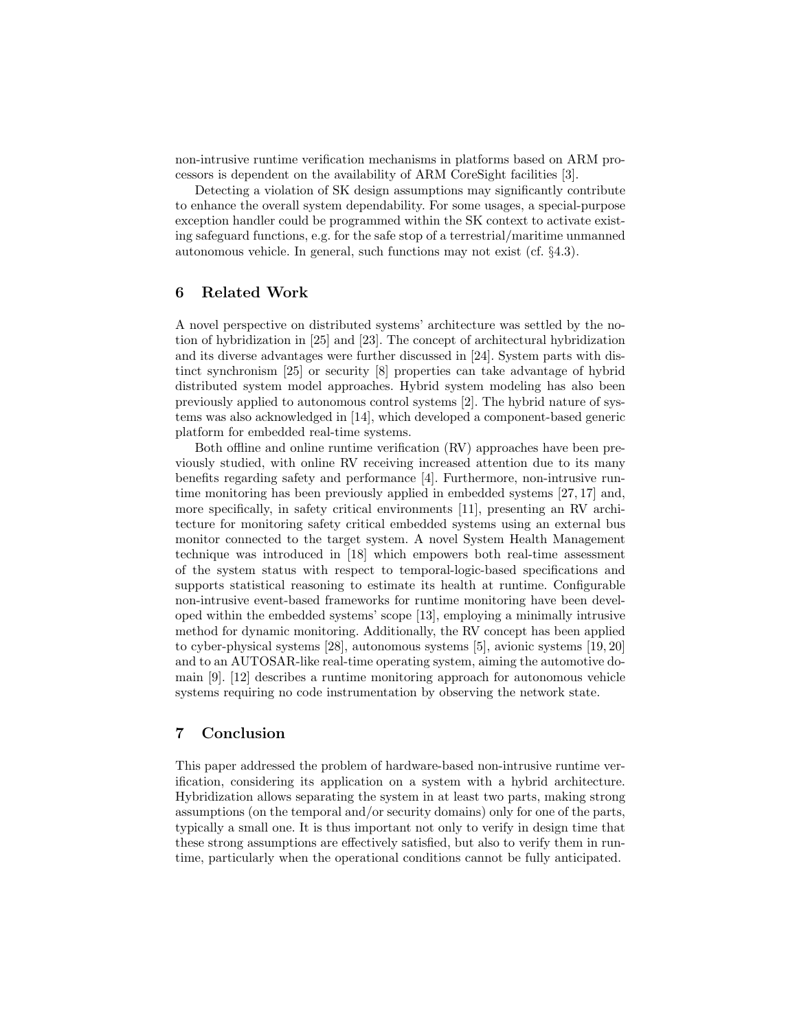non-intrusive runtime verification mechanisms in platforms based on ARM processors is dependent on the availability of ARM CoreSight facilities [3].

Detecting a violation of SK design assumptions may significantly contribute to enhance the overall system dependability. For some usages, a special-purpose exception handler could be programmed within the SK context to activate existing safeguard functions, e.g. for the safe stop of a terrestrial/maritime unmanned autonomous vehicle. In general, such functions may not exist (cf. §4.3).

## 6 Related Work

A novel perspective on distributed systems' architecture was settled by the notion of hybridization in [25] and [23]. The concept of architectural hybridization and its diverse advantages were further discussed in [24]. System parts with distinct synchronism [25] or security [8] properties can take advantage of hybrid distributed system model approaches. Hybrid system modeling has also been previously applied to autonomous control systems [2]. The hybrid nature of systems was also acknowledged in [14], which developed a component-based generic platform for embedded real-time systems.

Both offline and online runtime verification (RV) approaches have been previously studied, with online RV receiving increased attention due to its many benefits regarding safety and performance [4]. Furthermore, non-intrusive runtime monitoring has been previously applied in embedded systems [27, 17] and, more specifically, in safety critical environments [11], presenting an RV architecture for monitoring safety critical embedded systems using an external bus monitor connected to the target system. A novel System Health Management technique was introduced in [18] which empowers both real-time assessment of the system status with respect to temporal-logic-based specifications and supports statistical reasoning to estimate its health at runtime. Configurable non-intrusive event-based frameworks for runtime monitoring have been developed within the embedded systems' scope [13], employing a minimally intrusive method for dynamic monitoring. Additionally, the RV concept has been applied to cyber-physical systems [28], autonomous systems [5], avionic systems [19, 20] and to an AUTOSAR-like real-time operating system, aiming the automotive domain [9]. [12] describes a runtime monitoring approach for autonomous vehicle systems requiring no code instrumentation by observing the network state.

## 7 Conclusion

This paper addressed the problem of hardware-based non-intrusive runtime verification, considering its application on a system with a hybrid architecture. Hybridization allows separating the system in at least two parts, making strong assumptions (on the temporal and/or security domains) only for one of the parts, typically a small one. It is thus important not only to verify in design time that these strong assumptions are effectively satisfied, but also to verify them in runtime, particularly when the operational conditions cannot be fully anticipated.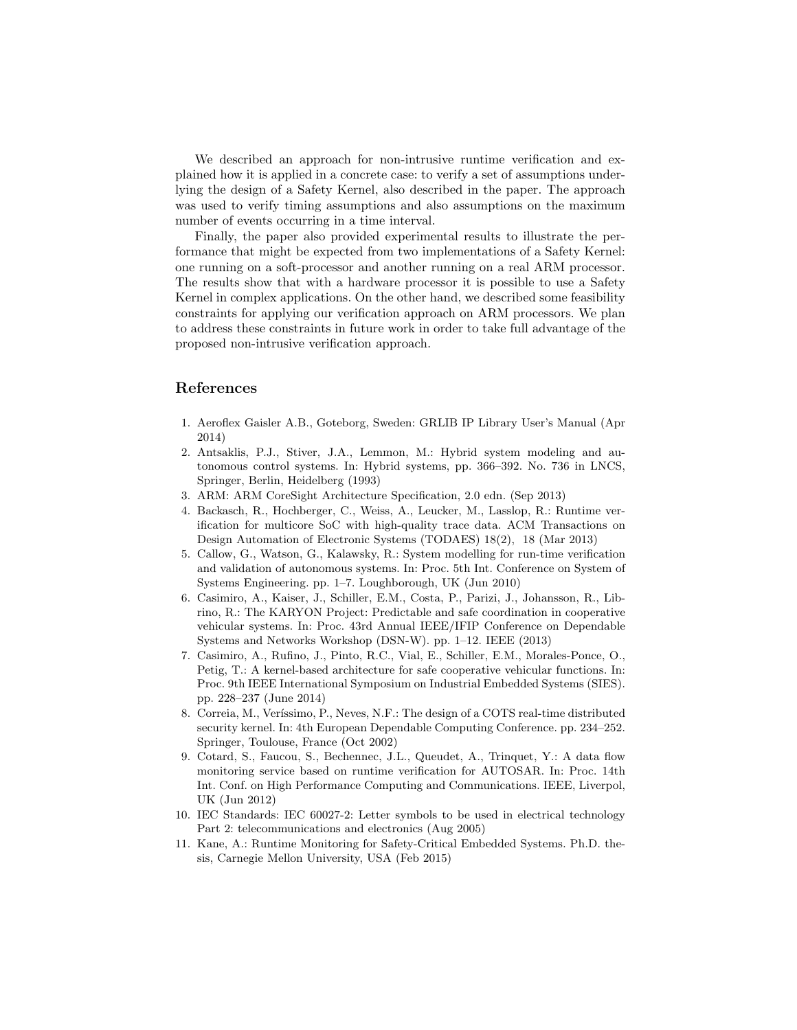We described an approach for non-intrusive runtime verification and explained how it is applied in a concrete case: to verify a set of assumptions underlying the design of a Safety Kernel, also described in the paper. The approach was used to verify timing assumptions and also assumptions on the maximum number of events occurring in a time interval.

Finally, the paper also provided experimental results to illustrate the performance that might be expected from two implementations of a Safety Kernel: one running on a soft-processor and another running on a real ARM processor. The results show that with a hardware processor it is possible to use a Safety Kernel in complex applications. On the other hand, we described some feasibility constraints for applying our verification approach on ARM processors. We plan to address these constraints in future work in order to take full advantage of the proposed non-intrusive verification approach.

## References

- 1. Aeroflex Gaisler A.B., Goteborg, Sweden: GRLIB IP Library User's Manual (Apr 2014)
- 2. Antsaklis, P.J., Stiver, J.A., Lemmon, M.: Hybrid system modeling and autonomous control systems. In: Hybrid systems, pp. 366–392. No. 736 in LNCS, Springer, Berlin, Heidelberg (1993)
- 3. ARM: ARM CoreSight Architecture Specification, 2.0 edn. (Sep 2013)
- 4. Backasch, R., Hochberger, C., Weiss, A., Leucker, M., Lasslop, R.: Runtime verification for multicore SoC with high-quality trace data. ACM Transactions on Design Automation of Electronic Systems (TODAES) 18(2), 18 (Mar 2013)
- 5. Callow, G., Watson, G., Kalawsky, R.: System modelling for run-time verification and validation of autonomous systems. In: Proc. 5th Int. Conference on System of Systems Engineering. pp. 1–7. Loughborough, UK (Jun 2010)
- 6. Casimiro, A., Kaiser, J., Schiller, E.M., Costa, P., Parizi, J., Johansson, R., Librino, R.: The KARYON Project: Predictable and safe coordination in cooperative vehicular systems. In: Proc. 43rd Annual IEEE/IFIP Conference on Dependable Systems and Networks Workshop (DSN-W). pp. 1–12. IEEE (2013)
- 7. Casimiro, A., Rufino, J., Pinto, R.C., Vial, E., Schiller, E.M., Morales-Ponce, O., Petig, T.: A kernel-based architecture for safe cooperative vehicular functions. In: Proc. 9th IEEE International Symposium on Industrial Embedded Systems (SIES). pp. 228–237 (June 2014)
- 8. Correia, M., Veríssimo, P., Neves, N.F.: The design of a COTS real-time distributed security kernel. In: 4th European Dependable Computing Conference. pp. 234–252. Springer, Toulouse, France (Oct 2002)
- 9. Cotard, S., Faucou, S., Bechennec, J.L., Queudet, A., Trinquet, Y.: A data flow monitoring service based on runtime verification for AUTOSAR. In: Proc. 14th Int. Conf. on High Performance Computing and Communications. IEEE, Liverpol, UK (Jun 2012)
- 10. IEC Standards: IEC 60027-2: Letter symbols to be used in electrical technology Part 2: telecommunications and electronics (Aug 2005)
- 11. Kane, A.: Runtime Monitoring for Safety-Critical Embedded Systems. Ph.D. thesis, Carnegie Mellon University, USA (Feb 2015)